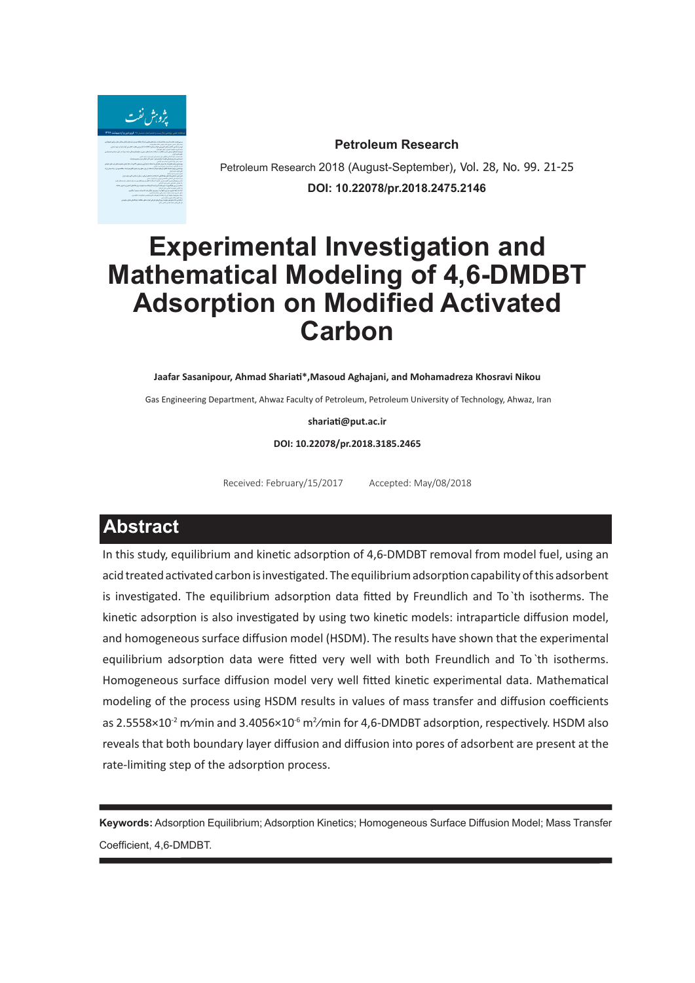

**Petroleum Research**

Petroleum Research 2018 (August-September), Vol. 28, No. 99. 21-25 **DOI: 10.22078/pr.2018.2475.2146**

# **Experimental Investigation and Mathematical Modeling of 4,6-DMDBT Adsorption on Modified Activated Carbon**

**Jaafar Sasanipour, Ahmad Shariati\*,Masoud Aghajani, and Mohamadreza Khosravi Nikou**

Gas Engineering Department, Ahwaz Faculty of Petroleum, Petroleum University of Technology, Ahwaz, Iran

**shariati@put.ac.ir**

**DOI: 10.22078/pr.2018.3185.2465**

Received: February/15/2017 Accepted: May/08/2018

## **Abstract**

In this study, equilibrium and kinetic adsorption of 4,6-DMDBT removal from model fuel, using an acid treated activated carbon is investigated. The equilibrium adsorption capability of this adsorbent is investigated. The equilibrium adsorption data fitted by Freundlich and To ̀th isotherms. The kinetic adsorption is also investigated by using two kinetic models: intraparticle diffusion model, and homogeneous surface diffusion model (HSDM). The results have shown that the experimental equilibrium adsorption data were fitted very well with both Freundlich and To ̀th isotherms. Homogeneous surface diffusion model very well fitted kinetic experimental data. Mathematical modeling of the process using HSDM results in values of mass transfer and diffusion coefficients as 2.5558×10<sup>-2</sup> m/min and 3.4056×10<sup>-6</sup> m<sup>2</sup>/min for 4,6-DMDBT adsorption, respectively. HSDM also reveals that both boundary layer diffusion and diffusion into pores of adsorbent are present at the rate-limiting step of the adsorption process.

**Keywords:** Adsorption Equilibrium; Adsorption Kinetics; Homogeneous Surface Diffusion Model; Mass Transfer Coefficient, 4,6-DMDBT.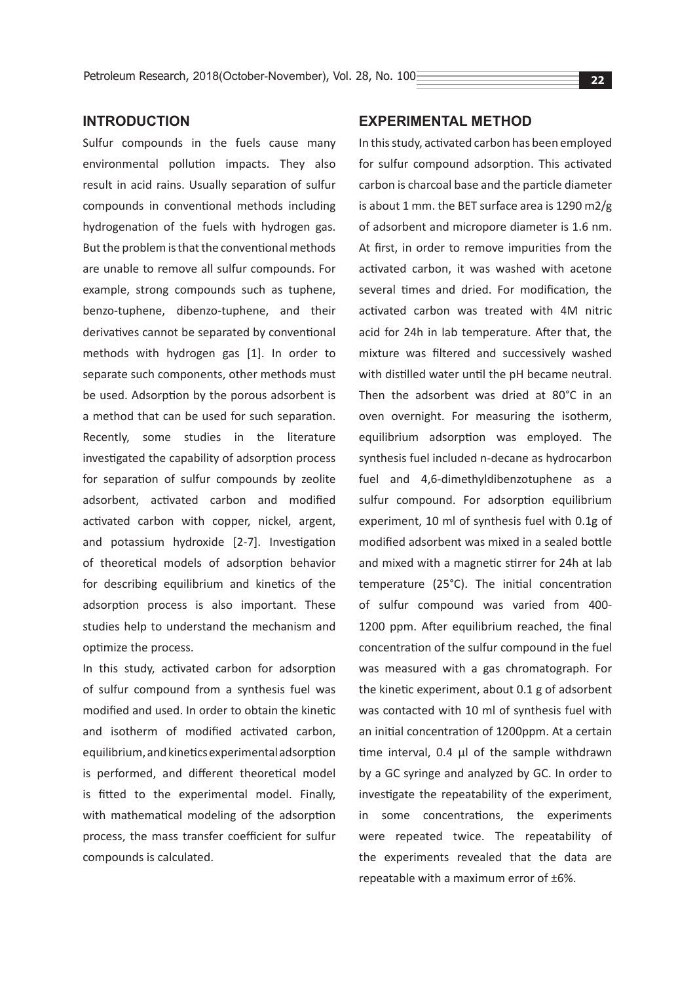## **INTRODUCTION**

Sulfur compounds in the fuels cause many environmental pollution impacts. They also result in acid rains. Usually separation of sulfur compounds in conventional methods including hydrogenation of the fuels with hydrogen gas. But the problem is that the conventional methods are unable to remove all sulfur compounds. For example, strong compounds such as tuphene, benzo-tuphene, dibenzo-tuphene, and their derivatives cannot be separated by conventional methods with hydrogen gas [1]. In order to separate such components, other methods must be used. Adsorption by the porous adsorbent is a method that can be used for such separation. Recently, some studies in the literature investigated the capability of adsorption process for separation of sulfur compounds by zeolite adsorbent, activated carbon and modified activated carbon with copper, nickel, argent, and potassium hydroxide [2-7]. Investigation of theoretical models of adsorption behavior for describing equilibrium and kinetics of the adsorption process is also important. These studies help to understand the mechanism and optimize the process.

In this study, activated carbon for adsorption of sulfur compound from a synthesis fuel was modified and used. In order to obtain the kinetic and isotherm of modified activated carbon, equilibrium, and kinetics experimental adsorption is performed, and different theoretical model is fitted to the experimental model. Finally, with mathematical modeling of the adsorption process, the mass transfer coefficient for sulfur compounds is calculated.

## **EXPERIMENTAL METHOD**

In this study, activated carbon has been employed for sulfur compound adsorption. This activated carbon is charcoal base and the particle diameter is about 1 mm. the BET surface area is 1290 m2/g of adsorbent and micropore diameter is 1.6 nm. At first, in order to remove impurities from the activated carbon, it was washed with acetone several times and dried. For modification, the activated carbon was treated with 4M nitric acid for 24h in lab temperature. After that, the mixture was filtered and successively washed with distilled water until the pH became neutral. Then the adsorbent was dried at 80°C in an oven overnight. For measuring the isotherm, equilibrium adsorption was employed. The synthesis fuel included n-decane as hydrocarbon fuel and 4,6-dimethyldibenzotuphene as a sulfur compound. For adsorption equilibrium experiment, 10 ml of synthesis fuel with 0.1g of modified adsorbent was mixed in a sealed bottle and mixed with a magnetic stirrer for 24h at lab temperature (25°C). The initial concentration of sulfur compound was varied from 400- 1200 ppm. After equilibrium reached, the final concentration of the sulfur compound in the fuel was measured with a gas chromatograph. For the kinetic experiment, about 0.1 g of adsorbent was contacted with 10 ml of synthesis fuel with an initial concentration of 1200ppm. At a certain time interval, 0.4 µl of the sample withdrawn by a GC syringe and analyzed by GC. In order to investigate the repeatability of the experiment, in some concentrations, the experiments were repeated twice. The repeatability of the experiments revealed that the data are repeatable with a maximum error of ±6%.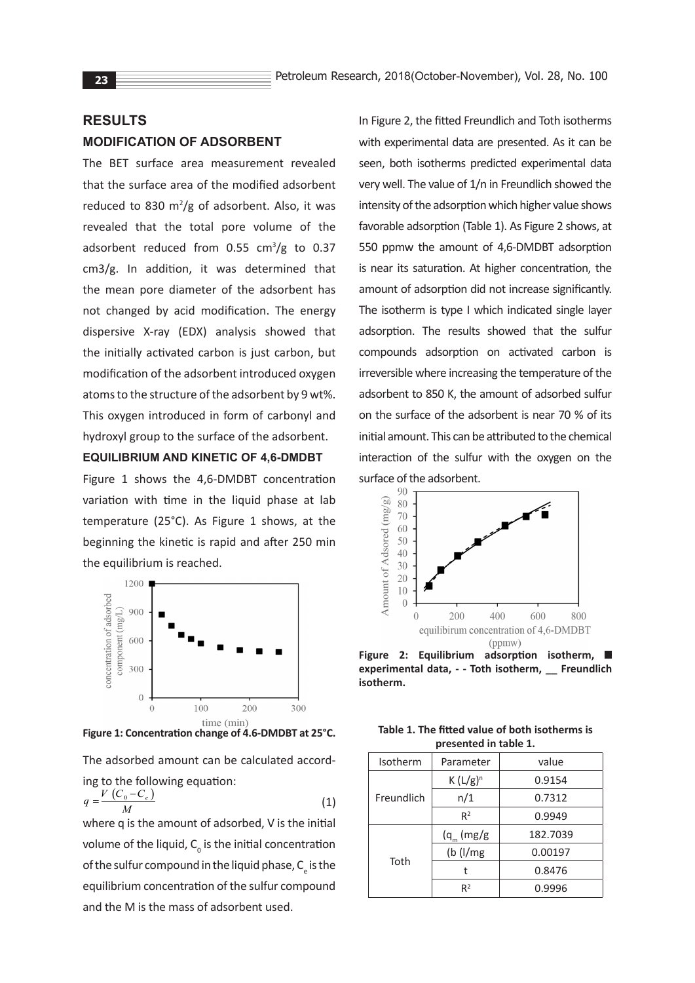## **RESULTS MODIFICATION OF ADSORBENT**

The BET surface area measurement revealed that the surface area of the modified adsorbent reduced to 830  $m^2/g$  of adsorbent. Also, it was revealed that the total pore volume of the adsorbent reduced from  $0.55$  cm<sup>3</sup>/g to  $0.37$ cm3/g. In addition, it was determined that the mean pore diameter of the adsorbent has not changed by acid modification. The energy dispersive X-ray (EDX) analysis showed that the initially activated carbon is just carbon, but modification of the adsorbent introduced oxygen atoms to the structure of the adsorbent by 9 wt%. This oxygen introduced in form of carbonyl and hydroxyl group to the surface of the adsorbent.

#### **EQUILIBRIUM AND KINETIC OF 4,6-DMDBT**

Figure 1 shows the 4,6-DMDBT concentration variation with time in the liquid phase at lab temperature (25°C). As Figure 1 shows, at the beginning the kinetic is rapid and after 250 min the equilibrium is reached.



**Figure 1: Concentration change of 4.6-DMDBT at 25°C.**

The adsorbed amount can be calculated according to the following equation:

$$
q = \frac{V(C_0 - C_e)}{M} \tag{1}
$$

where q is the amount of adsorbed, V is the initial volume of the liquid,  $C_{\text{o}}$  is the initial concentration of the sulfur compound in the liquid phase,  $C_{\rm e}$  is the equilibrium concentration of the sulfur compound and the M is the mass of adsorbent used.

In Figure 2, the fitted Freundlich and Toth isotherms with experimental data are presented. As it can be seen, both isotherms predicted experimental data very well. The value of 1/n in Freundlich showed the intensity of the adsorption which higher value shows favorable adsorption (Table 1). As Figure 2 shows, at 550 ppmw the amount of 4,6-DMDBT adsorption is near its saturation. At higher concentration, the amount of adsorption did not increase significantly. The isotherm is type I which indicated single layer adsorption. The results showed that the sulfur compounds adsorption on activated carbon is irreversible where increasing the temperature of the adsorbent to 850 K, the amount of adsorbed sulfur on the surface of the adsorbent is near 70 % of its initial amount. This can be attributed to the chemical interaction of the sulfur with the oxygen on the surface of the adsorbent.



**Figure 2: Equilibrium adsorption isotherm, experimental data, - - Toth isotherm, \_\_ Freundlich isotherm.**

| Table 1. The fitted value of both isotherms is |
|------------------------------------------------|
| presented in table 1.                          |

| Isotherm   | Parameter      | value    |  |  |  |
|------------|----------------|----------|--|--|--|
| Freundlich | $K(L/g)^n$     | 0.9154   |  |  |  |
|            | n/1            | 0.7312   |  |  |  |
|            | R <sup>2</sup> | 0.9949   |  |  |  |
| Toth       | $(q_m (mg/g)$  | 182.7039 |  |  |  |
|            | $(b$ ( $l/mg$  | 0.00197  |  |  |  |
|            |                | 0.8476   |  |  |  |
|            | R <sup>2</sup> | 0.9996   |  |  |  |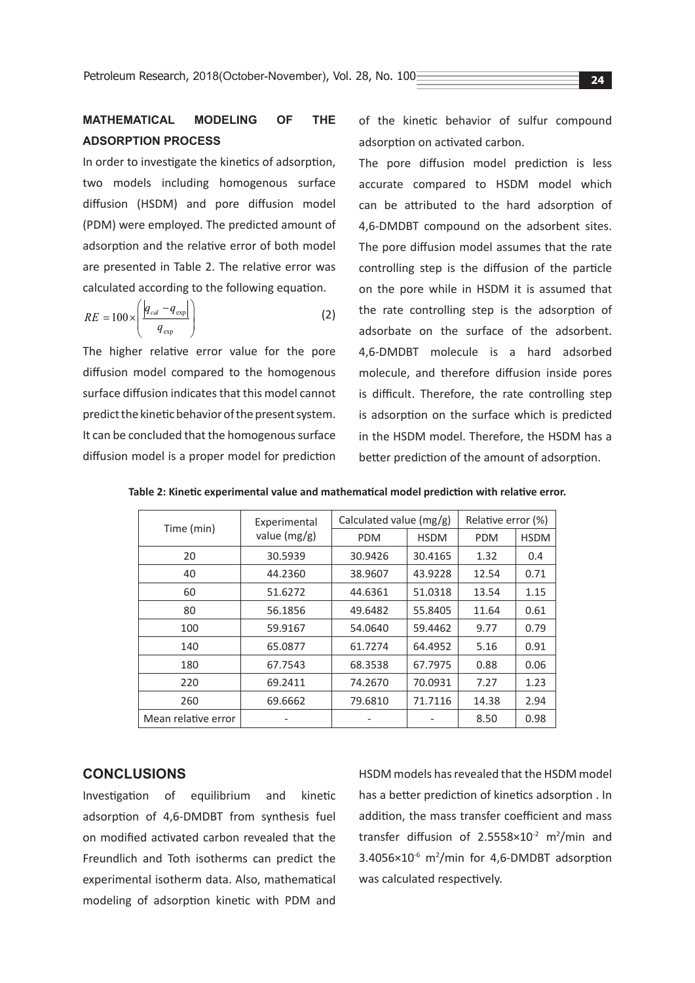## **MATHEMATICAL MODELING OF THE ADSORPTION PROCESS**

In order to investigate the kinetics of adsorption, two models including homogenous surface diffusion (HSDM) and pore diffusion model (PDM) were employed. The predicted amount of adsorption and the relative error of both model are presented in Table 2. The relative error was calculated according to the following equation.

$$
RE = 100 \times \left(\frac{|q_{cal} - q_{\text{exp}}|}{q_{\text{exp}}}\right)
$$
 (2)

The higher relative error value for the pore diffusion model compared to the homogenous surface diffusion indicates that this model cannot predict the kinetic behavior of the present system. It can be concluded that the homogenous surface diffusion model is a proper model for prediction of the kinetic behavior of sulfur compound adsorption on activated carbon.

The pore diffusion model prediction is less accurate compared to HSDM model which can be attributed to the hard adsorption of 4,6-DMDBT compound on the adsorbent sites. The pore diffusion model assumes that the rate controlling step is the diffusion of the particle on the pore while in HSDM it is assumed that the rate controlling step is the adsorption of adsorbate on the surface of the adsorbent. 4,6-DMDBT molecule is a hard adsorbed molecule, and therefore diffusion inside pores is difficult. Therefore, the rate controlling step is adsorption on the surface which is predicted in the HSDM model. Therefore, the HSDM has a better prediction of the amount of adsorption.

| Time (min)          | Experimental<br>value $(mg/g)$ | Calculated value (mg/g) |             | Relative error (%) |             |
|---------------------|--------------------------------|-------------------------|-------------|--------------------|-------------|
|                     |                                | <b>PDM</b>              | <b>HSDM</b> | <b>PDM</b>         | <b>HSDM</b> |
| 20                  | 30.5939                        | 30.9426                 | 30.4165     | 1.32               | 0.4         |
| 40                  | 44.2360                        | 38.9607                 | 43.9228     | 12.54              | 0.71        |
| 60                  | 51.6272                        | 44.6361                 | 51.0318     | 13.54              | 1.15        |
| 80                  | 56.1856                        | 49.6482                 | 55.8405     | 11.64              | 0.61        |
| 100                 | 59.9167                        | 54.0640                 | 59.4462     | 9.77               | 0.79        |
| 140                 | 65.0877                        | 61.7274                 | 64.4952     | 5.16               | 0.91        |
| 180                 | 67.7543                        | 68.3538                 | 67.7975     | 0.88               | 0.06        |
| 220                 | 69.2411                        | 74.2670                 | 70.0931     | 7.27               | 1.23        |
| 260                 | 69.6662                        | 79.6810                 | 71.7116     | 14.38              | 2.94        |
| Mean relative error |                                |                         |             | 8.50               | 0.98        |

**Table 2: Kinetic experimental value and mathematical model prediction with relative error.**

#### **CONCLUSIONS**

Investigation of equilibrium and kinetic adsorption of 4,6-DMDBT from synthesis fuel on modified activated carbon revealed that the Freundlich and Toth isotherms can predict the experimental isotherm data. Also, mathematical modeling of adsorption kinetic with PDM and

HSDM models has revealed that the HSDM model has a better prediction of kinetics adsorption . In addition, the mass transfer coefficient and mass transfer diffusion of  $2.5558 \times 10^{-2}$  m<sup>2</sup>/min and 3.4056×10<sup>-6</sup> m<sup>2</sup>/min for 4,6-DMDBT adsorption was calculated respectively.